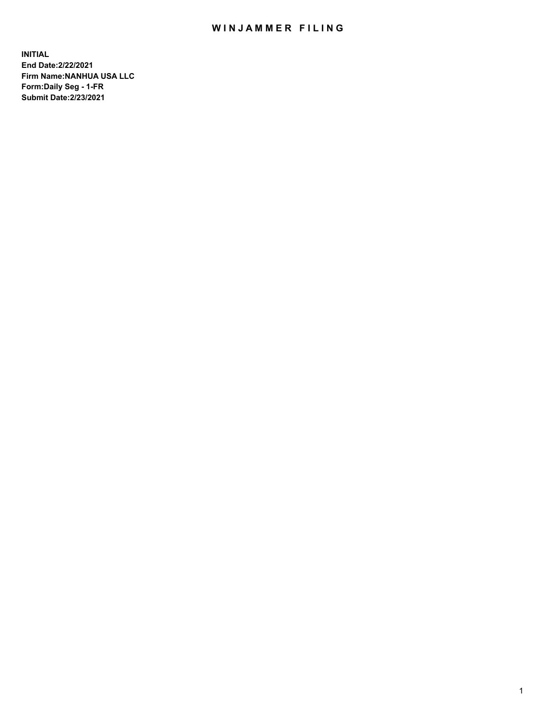## WIN JAMMER FILING

**INITIAL End Date:2/22/2021 Firm Name:NANHUA USA LLC Form:Daily Seg - 1-FR Submit Date:2/23/2021**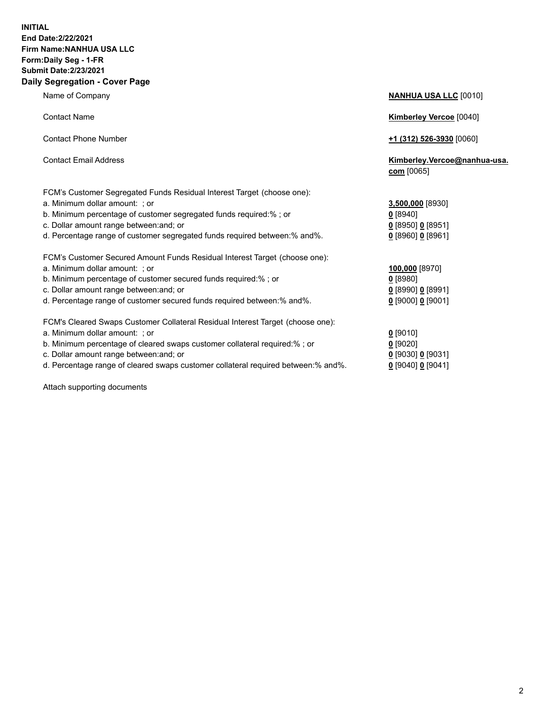### **INITIAL End Date:2/22/2021 Firm Name:NANHUA USA LLC Form:Daily Seg - 1-FR Submit Date:2/23/2021 Daily Segregation - Cover Page**

Name of Company **NANHUA USA LLC** [0010] Contact Name **Kimberley Vercoe** [0040] Contact Phone Number **+1 (312) 526-3930** [0060] Contact Email Address **Kimberley.Vercoe@nanhua-usa. com** [0065] FCM's Customer Segregated Funds Residual Interest Target (choose one): a. Minimum dollar amount: ; or **3,500,000** [8930] b. Minimum percentage of customer segregated funds required:% ; or **0** [8940] c. Dollar amount range between:and; or **0** [8950] **0** [8951] d. Percentage range of customer segregated funds required between: % and % FCM's Customer Secured Amount Funds Residual Interest Target (choose one): a. Minimum dollar amount: ; or **100,000** [8970] b. Minimum percentage of customer secured funds required:% ; or **0** [8980] c. Dollar amount range between:and; or **0** [8990] **0** [8991] d. Percentage range of customer secured funds required between:% and%. **0** [9000] **0** [9001] FCM's Cleared Swaps Customer Collateral Residual Interest Target (choose one): a. Minimum dollar amount: ; or **0** [9010] b. Minimum percentage of cleared swaps customer collateral required:% ; or **0** [9020] c. Dollar amount range between:and; or **0** [9030] **0** [9031]

d. Percentage range of cleared swaps customer collateral required between:% and%. **0** [9040] **0** [9041]

Attach supporting documents

| Percentage range of customer segregated lungs reguired between:% and%.        | 0 199001 0 1990 11  |
|-------------------------------------------------------------------------------|---------------------|
| M's Customer Secured Amount Funds Residual Interest Target (choose one):      |                     |
| Minimum dollar amount:  ; or                                                  | 100,000 [8970]      |
| Minimum percentage of customer secured funds required:% ; or                  | $0$ [8980]          |
| Dollar amount range between:and; or                                           | $0$ [8990] 0 [8991] |
| Percentage range of customer secured funds required between:% and%.           | $0$ [9000] 0 [9001] |
| :M's Cleared Swaps Customer Collateral Residual Interest Target (choose one): |                     |
| Minimum dollar amount:  ; or                                                  | $0$ [9010]          |
| Minimum percentage of cleared swaps customer collateral required:% ; or       | $0$ [9020]          |
| Dollar amount range hetween and  or                                           | 0 190301 0 190311   |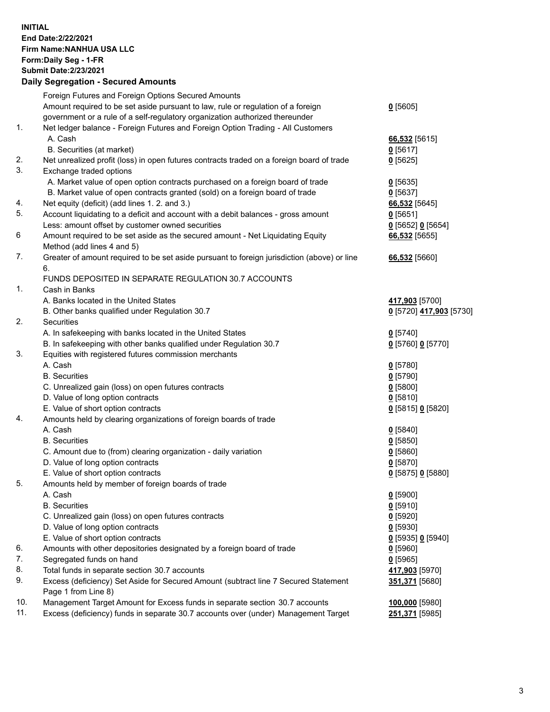**INITIAL End Date:2/22/2021 Firm Name:NANHUA USA LLC Form:Daily Seg - 1-FR Submit Date:2/23/2021**

# **Daily Segregation - Secured Amounts**

|     | Foreign Futures and Foreign Options Secured Amounts                                         |                         |
|-----|---------------------------------------------------------------------------------------------|-------------------------|
|     | Amount required to be set aside pursuant to law, rule or regulation of a foreign            | $0$ [5605]              |
|     | government or a rule of a self-regulatory organization authorized thereunder                |                         |
| 1.  | Net ledger balance - Foreign Futures and Foreign Option Trading - All Customers             |                         |
|     | A. Cash                                                                                     | 66,532 [5615]           |
|     | B. Securities (at market)                                                                   | $0$ [5617]              |
| 2.  | Net unrealized profit (loss) in open futures contracts traded on a foreign board of trade   | $0$ [5625]              |
| 3.  | Exchange traded options                                                                     |                         |
|     | A. Market value of open option contracts purchased on a foreign board of trade              | $0$ [5635]              |
|     | B. Market value of open contracts granted (sold) on a foreign board of trade                | $0$ [5637]              |
| 4.  | Net equity (deficit) (add lines 1. 2. and 3.)                                               | 66,532 [5645]           |
| 5.  | Account liquidating to a deficit and account with a debit balances - gross amount           | $0$ [5651]              |
|     | Less: amount offset by customer owned securities                                            | 0 [5652] 0 [5654]       |
| 6   | Amount required to be set aside as the secured amount - Net Liquidating Equity              | 66,532 [5655]           |
|     | Method (add lines 4 and 5)                                                                  |                         |
| 7.  | Greater of amount required to be set aside pursuant to foreign jurisdiction (above) or line | 66,532 [5660]           |
|     | 6.                                                                                          |                         |
|     | FUNDS DEPOSITED IN SEPARATE REGULATION 30.7 ACCOUNTS                                        |                         |
| 1.  | Cash in Banks                                                                               |                         |
|     | A. Banks located in the United States                                                       | 417,903 [5700]          |
|     | B. Other banks qualified under Regulation 30.7                                              | 0 [5720] 417,903 [5730] |
| 2.  | Securities                                                                                  |                         |
|     | A. In safekeeping with banks located in the United States                                   | $0$ [5740]              |
|     | B. In safekeeping with other banks qualified under Regulation 30.7                          | 0 [5760] 0 [5770]       |
| 3.  | Equities with registered futures commission merchants                                       |                         |
|     | A. Cash                                                                                     | $0$ [5780]              |
|     | <b>B.</b> Securities                                                                        | $0$ [5790]              |
|     | C. Unrealized gain (loss) on open futures contracts                                         | $0$ [5800]              |
|     | D. Value of long option contracts                                                           | $0$ [5810]              |
|     | E. Value of short option contracts                                                          | 0 [5815] 0 [5820]       |
| 4.  | Amounts held by clearing organizations of foreign boards of trade                           |                         |
|     | A. Cash                                                                                     | 0[5840]                 |
|     | <b>B.</b> Securities                                                                        | $0$ [5850]              |
|     | C. Amount due to (from) clearing organization - daily variation                             | $0$ [5860]              |
|     | D. Value of long option contracts                                                           | $0$ [5870]              |
|     | E. Value of short option contracts                                                          | 0 [5875] 0 [5880]       |
| 5.  | Amounts held by member of foreign boards of trade                                           |                         |
|     | A. Cash                                                                                     | $0$ [5900]              |
|     | <b>B.</b> Securities                                                                        | $0$ [5910]              |
|     | C. Unrealized gain (loss) on open futures contracts                                         | $0$ [5920]              |
|     | D. Value of long option contracts                                                           | $0$ [5930]              |
|     | E. Value of short option contracts                                                          | 0 [5935] 0 [5940]       |
| 6.  | Amounts with other depositories designated by a foreign board of trade                      | $0$ [5960]              |
| 7.  | Segregated funds on hand                                                                    | $0$ [5965]              |
| 8.  | Total funds in separate section 30.7 accounts                                               | 417,903 [5970]          |
| 9.  | Excess (deficiency) Set Aside for Secured Amount (subtract line 7 Secured Statement         | 351,371 [5680]          |
|     | Page 1 from Line 8)                                                                         |                         |
| 10. | Management Target Amount for Excess funds in separate section 30.7 accounts                 | 100,000 [5980]          |
| 11. | Excess (deficiency) funds in separate 30.7 accounts over (under) Management Target          | 251,371 [5985]          |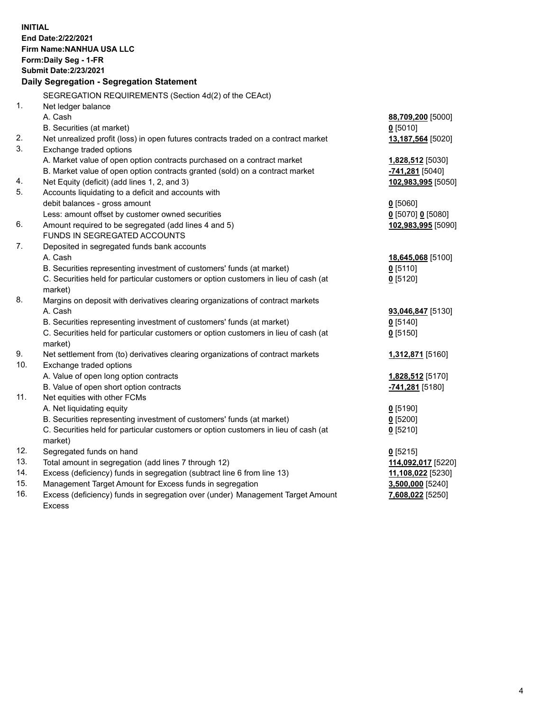| <b>INITIAL</b> | End Date: 2/22/2021<br>Firm Name: NANHUA USA LLC<br>Form: Daily Seg - 1-FR<br><b>Submit Date:2/23/2021</b><br>Daily Segregation - Segregation Statement |                            |
|----------------|---------------------------------------------------------------------------------------------------------------------------------------------------------|----------------------------|
|                | SEGREGATION REQUIREMENTS (Section 4d(2) of the CEAct)                                                                                                   |                            |
| $\mathbf{1}$ . | Net ledger balance                                                                                                                                      |                            |
|                | A. Cash                                                                                                                                                 | 88,709,200 [5000]          |
|                | B. Securities (at market)                                                                                                                               | $0$ [5010]                 |
| 2.             | Net unrealized profit (loss) in open futures contracts traded on a contract market                                                                      | 13,187,564 [5020]          |
| 3.             | Exchange traded options                                                                                                                                 |                            |
|                | A. Market value of open option contracts purchased on a contract market                                                                                 | 1,828,512 [5030]           |
|                | B. Market value of open option contracts granted (sold) on a contract market                                                                            | <u>-741,281</u> [5040]     |
| 4.             | Net Equity (deficit) (add lines 1, 2, and 3)                                                                                                            | 102,983,995 [5050]         |
| 5.             | Accounts liquidating to a deficit and accounts with                                                                                                     |                            |
|                | debit balances - gross amount                                                                                                                           | $0$ [5060]                 |
| 6.             | Less: amount offset by customer owned securities                                                                                                        | $0$ [5070] 0 [5080]        |
|                | Amount required to be segregated (add lines 4 and 5)<br>FUNDS IN SEGREGATED ACCOUNTS                                                                    | 102,983,995 [5090]         |
| 7.             | Deposited in segregated funds bank accounts                                                                                                             |                            |
|                | A. Cash                                                                                                                                                 | 18,645,068 [5100]          |
|                | B. Securities representing investment of customers' funds (at market)                                                                                   | $0$ [5110]                 |
|                | C. Securities held for particular customers or option customers in lieu of cash (at                                                                     | $0$ [5120]                 |
|                | market)                                                                                                                                                 |                            |
| 8.             | Margins on deposit with derivatives clearing organizations of contract markets                                                                          |                            |
|                | A. Cash                                                                                                                                                 | 93,046,847 [5130]          |
|                | B. Securities representing investment of customers' funds (at market)                                                                                   | $0$ [5140]                 |
|                | C. Securities held for particular customers or option customers in lieu of cash (at                                                                     | $0$ [5150]                 |
|                | market)                                                                                                                                                 |                            |
| 9.             | Net settlement from (to) derivatives clearing organizations of contract markets                                                                         | 1,312,871 [5160]           |
| 10.            | Exchange traded options                                                                                                                                 |                            |
|                | A. Value of open long option contracts                                                                                                                  | 1,828,512 [5170]           |
|                | B. Value of open short option contracts                                                                                                                 | -741,281 <sup>[5180]</sup> |
| 11.            | Net equities with other FCMs                                                                                                                            |                            |
|                | A. Net liquidating equity                                                                                                                               | $0$ [5190]                 |
|                | B. Securities representing investment of customers' funds (at market)                                                                                   | $0$ [5200]                 |
|                | C. Securities held for particular customers or option customers in lieu of cash (at                                                                     | $0$ [5210]                 |
|                | market)                                                                                                                                                 |                            |
| 12.            | Segregated funds on hand                                                                                                                                | $0$ [5215]                 |
| 13.            | Total amount in segregation (add lines 7 through 12)                                                                                                    | 114,092,017 [5220]         |
| 14.            | Excess (deficiency) funds in segregation (subtract line 6 from line 13)                                                                                 | 11,108,022 [5230]          |
| 15.            | Management Target Amount for Excess funds in segregation                                                                                                | 3,500,000 [5240]           |
| 16.            | Excess (deficiency) funds in segregation over (under) Management Target Amount                                                                          | 7,608,022 [5250]           |
|                | <b>Excess</b>                                                                                                                                           |                            |